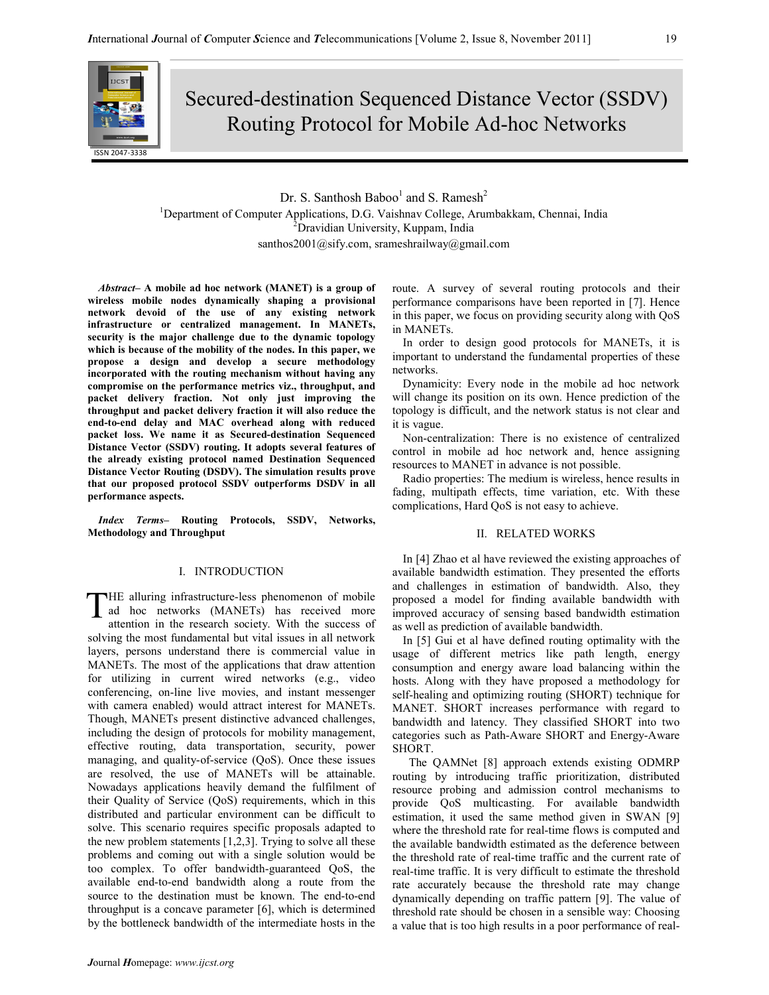

Secured-destination Sequenced Distance Vector (SSDV) Routing Protocol for Mobile Ad-hoc Networks

Dr. S. Santhosh Baboo<sup>1</sup> and S. Ramesh<sup>2</sup> <sup>1</sup>Department of Computer Applications, D.G. Vaishnav College, Arumbakkam, Chennai, India <sup>2</sup>Dravidian University, Kuppam, India santhos2001@sify.com, srameshrailway@gmail.com

Abstract– A mobile ad hoc network (MANET) is a group of wireless mobile nodes dynamically shaping a provisional network devoid of the use of any existing network infrastructure or centralized management. In MANETs, security is the major challenge due to the dynamic topology which is because of the mobility of the nodes. In this paper, we propose a design and develop a secure methodology incorporated with the routing mechanism without having any compromise on the performance metrics viz., throughput, and packet delivery fraction. Not only just improving the throughput and packet delivery fraction it will also reduce the end-to-end delay and MAC overhead along with reduced packet loss. We name it as Secured-destination Sequenced Distance Vector (SSDV) routing. It adopts several features of the already existing protocol named Destination Sequenced Distance Vector Routing (DSDV). The simulation results prove that our proposed protocol SSDV outperforms DSDV in all performance aspects.

Index Terms– Routing Protocols, SSDV, Networks, Methodology and Throughput

### I. INTRODUCTION

HE alluring infrastructure-less phenomenon of mobile THE alluring infrastructure-less phenomenon of mobile<br>ad hoc networks (MANETs) has received more<br>attention in the research society. With the success of attention in the research society. With the success of solving the most fundamental but vital issues in all network layers, persons understand there is commercial value in MANETs. The most of the applications that draw attention for utilizing in current wired networks (e.g., video conferencing, on-line live movies, and instant messenger with camera enabled) would attract interest for MANETs. Though, MANETs present distinctive advanced challenges, including the design of protocols for mobility management, effective routing, data transportation, security, power managing, and quality-of-service (QoS). Once these issues are resolved, the use of MANETs will be attainable. Nowadays applications heavily demand the fulfilment of their Quality of Service (QoS) requirements, which in this distributed and particular environment can be difficult to solve. This scenario requires specific proposals adapted to the new problem statements  $[1,2,3]$ . Trying to solve all these problems and coming out with a single solution would be too complex. To offer bandwidth-guaranteed QoS, the available end-to-end bandwidth along a route from the source to the destination must be known. The end-to-end throughput is a concave parameter [6], which is determined by the bottleneck bandwidth of the intermediate hosts in the

route. A survey of several routing protocols and their performance comparisons have been reported in [7]. Hence in this paper, we focus on providing security along with QoS in MANETs.

In order to design good protocols for MANETs, it is important to understand the fundamental properties of these networks.

Dynamicity: Every node in the mobile ad hoc network will change its position on its own. Hence prediction of the topology is difficult, and the network status is not clear and it is vague.

Non-centralization: There is no existence of centralized control in mobile ad hoc network and, hence assigning resources to MANET in advance is not possible.

Radio properties: The medium is wireless, hence results in fading, multipath effects, time variation, etc. With these complications, Hard QoS is not easy to achieve.

## II. RELATED WORKS

In [4] Zhao et al have reviewed the existing approaches of available bandwidth estimation. They presented the efforts and challenges in estimation of bandwidth. Also, they proposed a model for finding available bandwidth with improved accuracy of sensing based bandwidth estimation as well as prediction of available bandwidth.

In [5] Gui et al have defined routing optimality with the usage of different metrics like path length, energy consumption and energy aware load balancing within the hosts. Along with they have proposed a methodology for self-healing and optimizing routing (SHORT) technique for MANET. SHORT increases performance with regard to bandwidth and latency. They classified SHORT into two categories such as Path-Aware SHORT and Energy-Aware SHORT.

 The QAMNet [8] approach extends existing ODMRP routing by introducing traffic prioritization, distributed resource probing and admission control mechanisms to provide QoS multicasting. For available bandwidth estimation, it used the same method given in SWAN [9] where the threshold rate for real-time flows is computed and the available bandwidth estimated as the deference between the threshold rate of real-time traffic and the current rate of real-time traffic. It is very difficult to estimate the threshold rate accurately because the threshold rate may change dynamically depending on traffic pattern [9]. The value of threshold rate should be chosen in a sensible way: Choosing a value that is too high results in a poor performance of real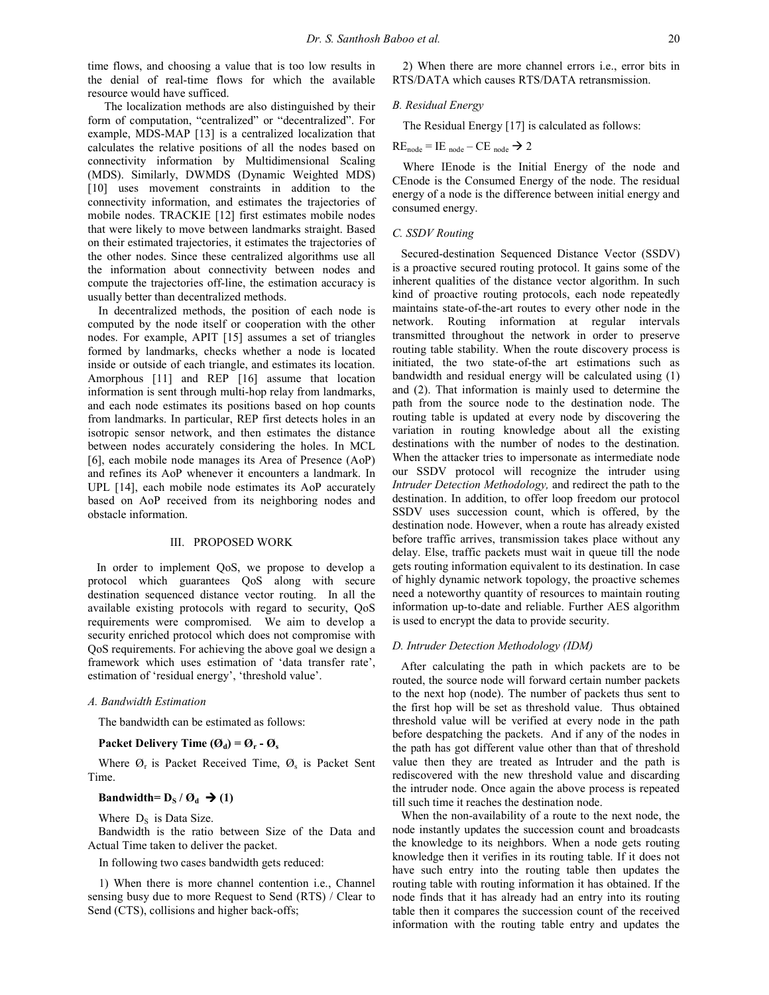time flows, and choosing a value that is too low results in the denial of real-time flows for which the available resource would have sufficed.

 The localization methods are also distinguished by their form of computation, "centralized" or "decentralized". For example, MDS-MAP [13] is a centralized localization that calculates the relative positions of all the nodes based on connectivity information by Multidimensional Scaling (MDS). Similarly, DWMDS (Dynamic Weighted MDS) [10] uses movement constraints in addition to the connectivity information, and estimates the trajectories of mobile nodes. TRACKIE [12] first estimates mobile nodes that were likely to move between landmarks straight. Based on their estimated trajectories, it estimates the trajectories of the other nodes. Since these centralized algorithms use all the information about connectivity between nodes and compute the trajectories off-line, the estimation accuracy is usually better than decentralized methods.

In decentralized methods, the position of each node is computed by the node itself or cooperation with the other nodes. For example, APIT [15] assumes a set of triangles formed by landmarks, checks whether a node is located inside or outside of each triangle, and estimates its location. Amorphous [11] and REP [16] assume that location information is sent through multi-hop relay from landmarks, and each node estimates its positions based on hop counts from landmarks. In particular, REP first detects holes in an isotropic sensor network, and then estimates the distance between nodes accurately considering the holes. In MCL [6], each mobile node manages its Area of Presence (AoP) and refines its AoP whenever it encounters a landmark. In UPL [14], each mobile node estimates its AoP accurately based on AoP received from its neighboring nodes and obstacle information.

### III. PROPOSED WORK

 In order to implement QoS, we propose to develop a protocol which guarantees QoS along with secure destination sequenced distance vector routing. In all the available existing protocols with regard to security, QoS requirements were compromised. We aim to develop a security enriched protocol which does not compromise with QoS requirements. For achieving the above goal we design a framework which uses estimation of 'data transfer rate', estimation of 'residual energy', 'threshold value'.

#### A. Bandwidth Estimation

The bandwidth can be estimated as follows:

## Packet Delivery Time  $(\mathcal{O}_d) = \mathcal{O}_r$  -  $\mathcal{O}_s$

Where  $\mathcal{O}_r$  is Packet Received Time,  $\mathcal{O}_s$  is Packet Sent Time.

## Bandwidth=  $D_S / \mathcal{O}_d \rightarrow (1)$

Where  $D<sub>S</sub>$  is Data Size.

Bandwidth is the ratio between Size of the Data and Actual Time taken to deliver the packet.

In following two cases bandwidth gets reduced:

1) When there is more channel contention i.e., Channel sensing busy due to more Request to Send (RTS) / Clear to Send (CTS), collisions and higher back-offs;

2) When there are more channel errors i.e., error bits in RTS/DATA which causes RTS/DATA retransmission.

### B. Residual Energy

The Residual Energy [17] is calculated as follows:

$$
RE_{\text{node}} = IE_{\text{node}} - CE_{\text{node}} \rightarrow 2
$$

Where IEnode is the Initial Energy of the node and CEnode is the Consumed Energy of the node. The residual energy of a node is the difference between initial energy and consumed energy.

# C. SSDV Routing

 Secured-destination Sequenced Distance Vector (SSDV) is a proactive secured routing protocol. It gains some of the inherent qualities of the distance vector algorithm. In such kind of proactive routing protocols, each node repeatedly maintains state-of-the-art routes to every other node in the network. Routing information at regular intervals transmitted throughout the network in order to preserve routing table stability. When the route discovery process is initiated, the two state-of-the art estimations such as bandwidth and residual energy will be calculated using (1) and (2). That information is mainly used to determine the path from the source node to the destination node. The routing table is updated at every node by discovering the variation in routing knowledge about all the existing destinations with the number of nodes to the destination. When the attacker tries to impersonate as intermediate node our SSDV protocol will recognize the intruder using Intruder Detection Methodology, and redirect the path to the destination. In addition, to offer loop freedom our protocol SSDV uses succession count, which is offered, by the destination node. However, when a route has already existed before traffic arrives, transmission takes place without any delay. Else, traffic packets must wait in queue till the node gets routing information equivalent to its destination. In case of highly dynamic network topology, the proactive schemes need a noteworthy quantity of resources to maintain routing information up-to-date and reliable. Further AES algorithm is used to encrypt the data to provide security.

### D. Intruder Detection Methodology (IDM)

 After calculating the path in which packets are to be routed, the source node will forward certain number packets to the next hop (node). The number of packets thus sent to the first hop will be set as threshold value. Thus obtained threshold value will be verified at every node in the path before despatching the packets. And if any of the nodes in the path has got different value other than that of threshold value then they are treated as Intruder and the path is rediscovered with the new threshold value and discarding the intruder node. Once again the above process is repeated till such time it reaches the destination node.

 When the non-availability of a route to the next node, the node instantly updates the succession count and broadcasts the knowledge to its neighbors. When a node gets routing knowledge then it verifies in its routing table. If it does not have such entry into the routing table then updates the routing table with routing information it has obtained. If the node finds that it has already had an entry into its routing table then it compares the succession count of the received information with the routing table entry and updates the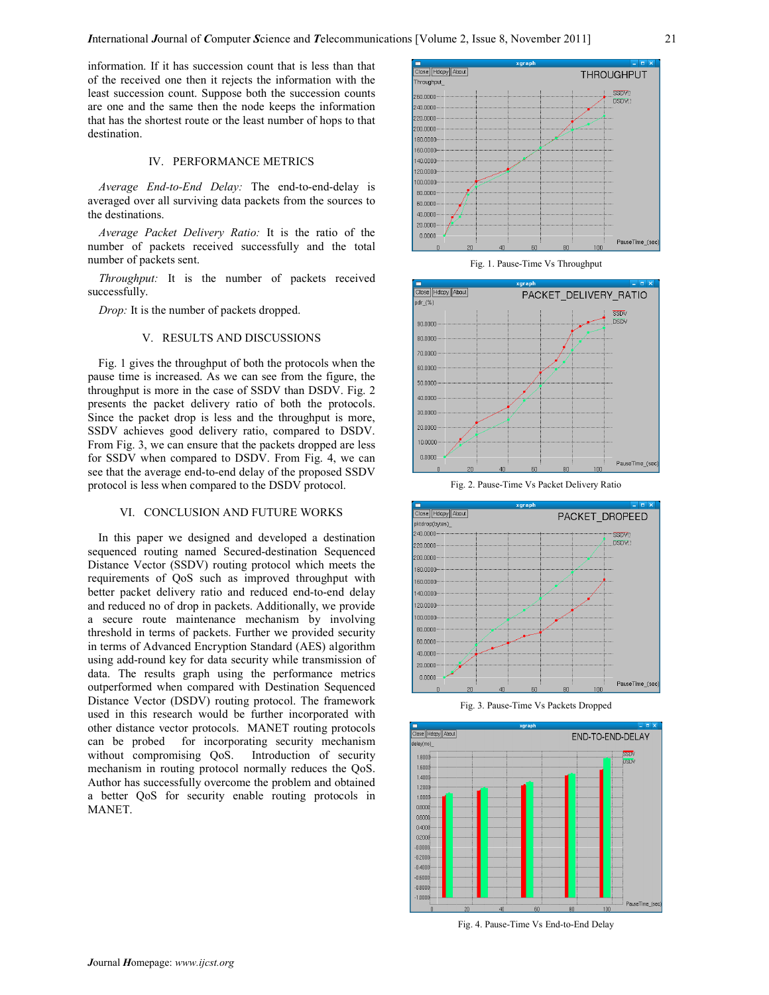information. If it has succession count that is less than that of the received one then it rejects the information with the least succession count. Suppose both the succession counts are one and the same then the node keeps the information that has the shortest route or the least number of hops to that destination.

## IV. PERFORMANCE METRICS

Average End-to-End Delay: The end-to-end-delay is averaged over all surviving data packets from the sources to the destinations.

Average Packet Delivery Ratio: It is the ratio of the number of packets received successfully and the total number of packets sent.

Throughput: It is the number of packets received successfully.

Drop: It is the number of packets dropped.

## V. RESULTS AND DISCUSSIONS

Fig. 1 gives the throughput of both the protocols when the pause time is increased. As we can see from the figure, the throughput is more in the case of SSDV than DSDV. Fig. 2 presents the packet delivery ratio of both the protocols. Since the packet drop is less and the throughput is more, SSDV achieves good delivery ratio, compared to DSDV. From Fig. 3, we can ensure that the packets dropped are less for SSDV when compared to DSDV. From Fig. 4, we can see that the average end-to-end delay of the proposed SSDV protocol is less when compared to the DSDV protocol.

## VI. CONCLUSION AND FUTURE WORKS

In this paper we designed and developed a destination sequenced routing named Secured-destination Sequenced Distance Vector (SSDV) routing protocol which meets the requirements of QoS such as improved throughput with better packet delivery ratio and reduced end-to-end delay and reduced no of drop in packets. Additionally, we provide a secure route maintenance mechanism by involving threshold in terms of packets. Further we provided security in terms of Advanced Encryption Standard (AES) algorithm using add-round key for data security while transmission of data. The results graph using the performance metrics outperformed when compared with Destination Sequenced Distance Vector (DSDV) routing protocol. The framework used in this research would be further incorporated with other distance vector protocols. MANET routing protocols can be probed for incorporating security mechanism without compromising QoS. Introduction of security mechanism in routing protocol normally reduces the QoS. Author has successfully overcome the problem and obtained a better QoS for security enable routing protocols in MANET.



Fig. 1. Pause-Time Vs Throughput



Fig. 2. Pause-Time Vs Packet Delivery Ratio







Fig. 4. Pause-Time Vs End-to-End Delay